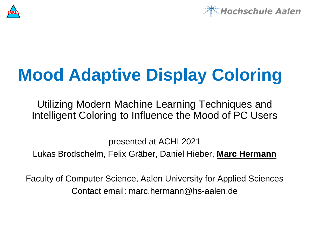



# **Mood Adaptive Display Coloring**

Utilizing Modern Machine Learning Techniques and Intelligent Coloring to Influence the Mood of PC Users

presented at ACHI 2021 Lukas Brodschelm, Felix Gräber, Daniel Hieber, **Marc Hermann**

Faculty of Computer Science, Aalen University for Applied Sciences Contact email: marc.hermann@hs-aalen.de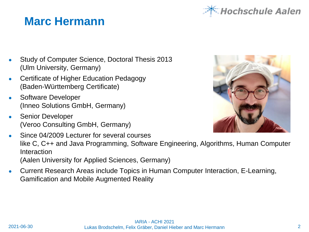## **Marc Hermann**

- Study of Computer Science, Doctoral Thesis 2013 (Ulm University, Germany)
- Certificate of Higher Education Pedagogy (Baden-Württemberg Certificate)
- Software Developer (Inneo Solutions GmbH, Germany)
- **Senior Developer** (Veroo Consulting GmbH, Germany)
- Since 04/2009 Lecturer for several courses like C, C++ and Java Programming, Software Engineering, Algorithms, Human Computer Interaction (Aalen University for Applied Sciences, Germany)
- Current Research Areas include Topics in Human Computer Interaction, E-Learning, Gamification and Mobile Augmented Reality



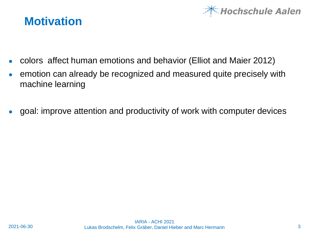

#### **Motivation**

- colors affect human emotions and behavior (Elliot and Maier 2012)
- emotion can already be recognized and measured quite precisely with machine learning
- goal: improve attention and productivity of work with computer devices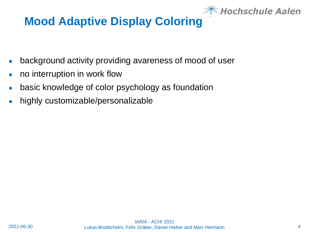

## **Mood Adaptive Display Coloring**

- background activity providing avareness of mood of user
- no interruption in work flow
- basic knowledge of color psychology as foundation
- highly customizable/personalizable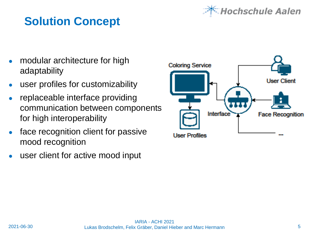## *lochschule Aalen*

## **Solution Concept**

- modular architecture for high adaptability
- user profiles for customizability
- replaceable interface providing communication between components for high interoperability
- face recognition client for passive mood recognition
- user client for active mood input

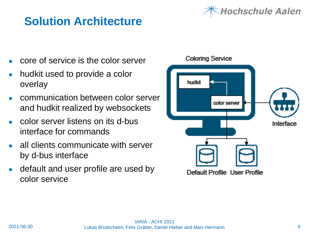## **Solution Architecture**

- core of service is the color server
- hudkit used to provide a color overlay
- communication between color server and hudkit realized by websockets
- color server listens on its d-bus interface for commands
- all clients communicate with server by d-bus interface
- default and user profile are used by color service



**Coloring Service** 

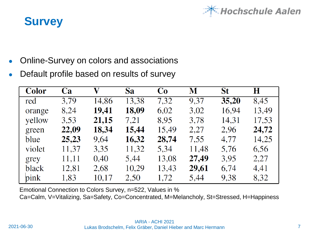

### **Survey**

- Online-Survey on colors and associations
- Default profile based on results of survey

| <b>Color</b> | Ca    | $\mathbf{V}$ | <b>Sa</b> | Co    | M     | St    | H     |
|--------------|-------|--------------|-----------|-------|-------|-------|-------|
| red          | 3.79  | 14,86        | 13,38     | 7,32  | 9,37  | 35,20 | 8,45  |
| orange       | 8,24  | 19,41        | 18,09     | 6,02  | 3,02  | 16,94 | 13,49 |
| yellow       | 3,53  | 21,15        | 7,21      | 8,95  | 3,78  | 14,31 | 17,53 |
| green        | 22,09 | 18,34        | 15,44     | 15,49 | 2,27  | 2,96  | 24,72 |
| blue         | 25,23 | 9,64         | 16,32     | 28,74 | 7,55  | 4,77  | 14,25 |
| violet       | 11,37 | 3,35         | 11,32     | 5,34  | 11,48 | 5,76  | 6,56  |
| grey         | 11,11 | 0,40         | 5,44      | 13,08 | 27,49 | 3,95  | 2,27  |
| black        | 12,81 | 2,68         | 10,29     | 13,43 | 29,61 | 6,74  | 4,41  |
| pink         | 1,83  | 10,17        | 2,50      | 1,72  | 5,44  | 9,38  | 8,32  |

Emotional Connection to Colors Survey, n=522, Values in %

Ca=Calm, V=Vitalizing, Sa=Safety, Co=Concentrated, M=Melancholy, St=Stressed, H=Happiness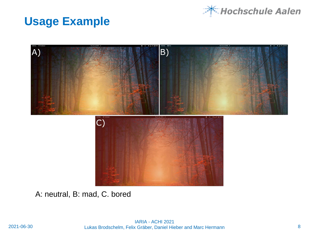

### **Usage Example**



A: neutral, B: mad, C. bored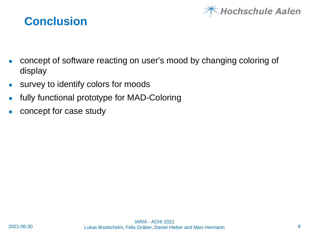

### **Conclusion**

- concept of software reacting on user's mood by changing coloring of display
- survey to identify colors for moods
- fully functional prototype for MAD-Coloring
- concept for case study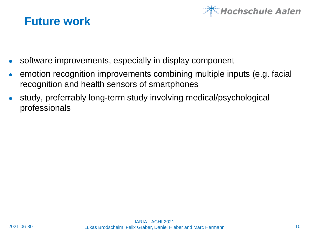

#### **Future work**

- software improvements, especially in display component
- emotion recognition improvements combining multiple inputs (e.g. facial recognition and health sensors of smartphones
- study, preferrably long-term study involving medical/psychological professionals